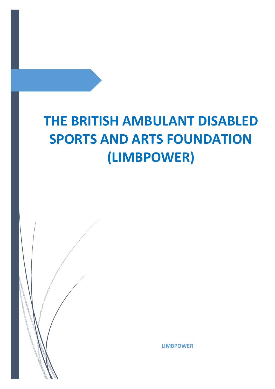# **THE BRITISH AMBULANT DISABLED SPORTS AND ARTS FOUNDATION (LIMBPOWER)**



**LIMBPOWER**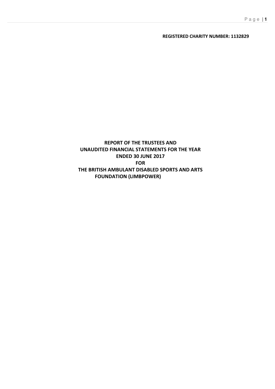## **REGISTERED CHARITY NUMBER: 1132829**

# **REPORT OF THE TRUSTEES AND UNAUDITED FINANCIAL STATEMENTS FOR THE YEAR ENDED 30 JUNE 2017 FOR THE BRITISH AMBULANT DISABLED SPORTS AND ARTS FOUNDATION (LIMBPOWER)**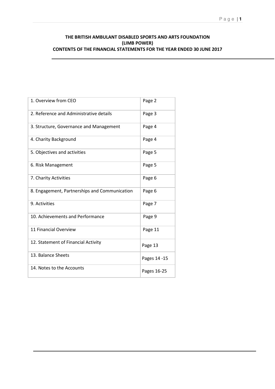# **THE BRITISH AMBULANT DISABLED SPORTS AND ARTS FOUNDATION (LIMB POWER) CONTENTS OF THE FINANCIAL STATEMENTS FOR THE YEAR ENDED 30 JUNE 2017**

| 1. Overview from CEO                          | Page 2       |
|-----------------------------------------------|--------------|
| 2. Reference and Administrative details       | Page 3       |
| 3. Structure, Governance and Management       | Page 4       |
| 4. Charity Background                         | Page 4       |
| 5. Objectives and activities                  | Page 5       |
| 6. Risk Management                            | Page 5       |
| 7. Charity Activities                         | Page 6       |
| 8. Engagement, Partnerships and Communication | Page 6       |
| 9. Activities                                 | Page 7       |
| 10. Achievements and Performance              | Page 9       |
| 11 Financial Overview                         | Page 11      |
| 12. Statement of Financial Activity           | Page 13      |
| 13. Balance Sheets                            | Pages 14 -15 |
| 14. Notes to the Accounts                     | Pages 16-25  |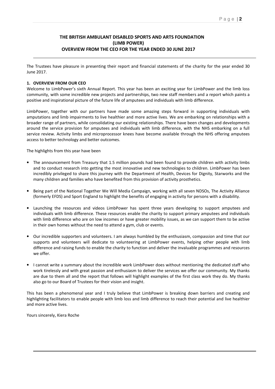# **THE BRITISH AMBULANT DISABLED SPORTS AND ARTS FOUNDATION (LIMB POWER) OVERVIEW FROM THE CEO FOR THE YEAR ENDED 30 JUNE 2017**

The Trustees have pleasure in presenting their report and financial statements of the charity for the year ended 30 June 2017.

#### **1. OVERVIEW FROM OUR CEO**

Welcome to LimbPower's sixth Annual Report. This year has been an exciting year for LimbPower and the limb loss community, with some incredible new projects and partnerships, two new staff members and a report which paints a positive and inspirational picture of the future life of amputees and individuals with limb difference.

LimbPower, together with our partners have made some amazing steps forward in supporting individuals with amputations and limb impairments to live healthier and more active lives. We are embarking on relationships with a broader range of partners, while consolidating our existing relationships. There have been changes and developments around the service provision for amputees and individuals with limb difference, with the NHS embarking on a full service review. Activity limbs and microprocessor knees have become available through the NHS offering amputees access to better technology and better outcomes.

The highlights from this year have been

- The announcement from Treasury that 1.5 million pounds had been found to provide children with activity limbs and to conduct research into getting the most innovative and new technologies to children. LimbPower has been incredibly privileged to share this journey with the Department of Health, Devices for Dignity, Starworks and the many children and families who have benefited from this provision of activity prosthetics.
- Being part of the National Together We Will Media Campaign, working with all seven NDSOs, The Activity Alliance (formerly EFDS) and Sport England to highlight the benefits of engaging in activity for persons with a disability.
- Launching the resources and videos LimbPower has spent three years developing to support amputees and individuals with limb difference. These resources enable the charity to support primary amputees and individuals with limb difference who are on low incomes or have greater mobility issues, as we can support them to be active in their own homes without the need to attend a gym, club or events.
- Our incredible supporters and volunteers. I am always humbled by the enthusiasm, compassion and time that our supports and volunteers will dedicate to volunteering at LimbPower events, helping other people with limb difference and raising funds to enable the charity to function and deliver the invaluable programmes and resources we offer.
- I cannot write a summary about the incredible work LimbPower does without mentioning the dedicated staff who work tirelessly and with great passion and enthusiasm to deliver the services we offer our community. My thanks are due to them all and the report that follows will highlight examples of the first class work they do. My thanks also go to our Board of Trustees for their vision and insight.

This has been a phenomenal year and I truly believe that LimbPower is breaking down barriers and creating and highlighting facilitators to enable people with limb loss and limb difference to reach their potential and live healthier and more active lives.

Yours sincerely, Kiera Roche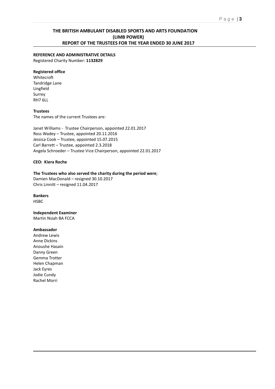## **THE BRITISH AMBULANT DISABLED SPORTS AND ARTS FOUNDATION (LIMB POWER) REPORT OF THE TRUSTEES FOR THE YEAR ENDED 30 JUNE 2017**

## **REFERENCE AND ADMINISTRATIVE DETAILS**

Registered Charity Number: **1132829** 

#### **Registered office**

Whitecroft Tandridge Lane Lingfield Surrey RH7 6LL

#### **Trustees**

The names of the current Trustees are:

Janet Williams - Trustee Chairperson, appointed 22.01.2017 Ross Wadey – Trustee, appointed 20.11.2016 Jessica Cook – Trustee, appointed 15.07.2015 Carl Barrett – Trustee, appointed 2.3.2018 Angela Schroeder – Trustee Vice Chairperson, appointed 22.01.2017

#### **CEO: Kiera Roche**

#### **The Trustees who also served the charity during the period were**;

Damien MacDonald – resigned 30.10.2017 Chris Linnitt – resigned 11.04.2017

#### **Bankers**

**HSBC** 

# **Independent Examiner**

Martin Nsiah BA FCCA

#### **Ambassador**

Andrew Lewis Anne Dickins Anoushe Hasain Danny Green Gemma Trotter Helen Chapman Jack Eyres Jodie Cundy Rachel Morri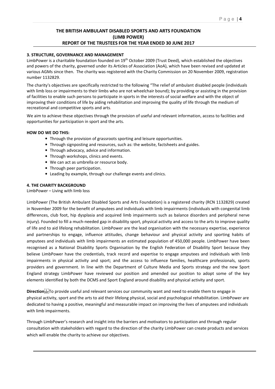# **THE BRITISH AMBULANT DISABLED SPORTS AND ARTS FOUNDATION (LIMB POWER) REPORT OF THE TRUSTEES FOR THE YEAR ENDED 30 JUNE 2017**

#### **3. STRUCTURE, GOVERNANCE AND MANAGEMENT**

LimbPower is a charitable foundation founded on 19<sup>th</sup> October 2009 (Trust Deed), which established the objectives and powers of the charity, governed under its Articles of Association (AoA), which have been revised and updated at various AGMs since then. The charity was registered with the Charity Commission on 20 November 2009, registration number 1132829.

The charity's objectives are specifically restricted to the following "The relief of ambulant disabled people (individuals with limb loss or impairments to their limbs who are not wheelchair bound); by providing or assisting in the provision of facilities to enable such persons to participate in sports in the interests of social welfare and with the object of improving their conditions of life by aiding rehabilitation and improving the quality of life through the medium of recreational and competitive sports and arts.

We aim to achieve these objectives through the provision of useful and relevant information, access to facilities and opportunities for participation in sport and the arts.

#### **HOW DO WE DO THIS:**

- Through the provision of grassroots sporting and leisure opportunities.
- Through signposting and resources, such as: the website, factsheets and guides.
- Through advocacy, advice and information.
- Through workshops, clinics and events.
- We can act as umbrella or resource body.
- Through peer participation.
- Leading by example, through our challenge events and clinics.

#### **4. THE CHARITY BACKGROUND**

LimbPower – Living with limb loss

LimbPower (The British Ambulant Disabled Sports and Arts Foundation) is a registered charity (RCN 1132829) created in November 2009 for the benefit of amputees and individuals with limb impairments (individuals with congenital limb differences, club foot, hip dysplasia and acquired limb impairments such as balance disorders and peripheral nerve injury). Founded to fill a much-needed gap in disability sport, physical activity and access to the arts to improve quality of life and to aid lifelong rehabilitation. LimbPower are the lead organisation with the necessary expertise, experience and partnerships to engage, influence attitudes, change behaviour and physical activity and sporting habits of amputees and individuals with limb impairments an estimated population of 450,000 people. LimbPower have been recognised as a National Disability Sports Organisation by the English Federation of Disability Sport because they believe LimbPower have the credentials, track record and expertise to engage amputees and individuals with limb impairments in physical activity and sport; and the access to influence families, healthcare professionals, sports providers and government. In line with the Department of Culture Media and Sports strategy and the new Sport England strategy LimbPower have reviewed our position and amended our position to adopt some of the key elements identified by both the DCMS and Sport England around disability and physical activity and sport.

**Direction<sup>[1</sup>]** Direction provide useful and relevant services our community want and need to enable them to engage in physical activity, sport and the arts to aid their lifelong physical, social and psychological rehabilitation. LimbPower are dedicated to having a positive, meaningful and measurable impact on improving the lives of amputees and individuals with limb impairments.

Through LimbPower's research and insight into the barriers and motivators to participation and through regular consultation with stakeholders with regard to the direction of the charity LimbPower can create products and services which will enable the charity to achieve our objectives.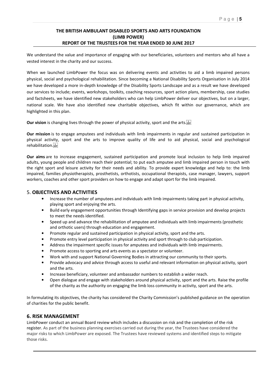# **THE BRITISH AMBULANT DISABLED SPORTS AND ARTS FOUNDATION (LIMB POWER) REPORT OF THE TRUSTEES FOR THE YEAR ENDED 30 JUNE 2017**

We understand the value and importance of engaging with our beneficiaries, volunteers and mentors who all have a vested interest in the charity and our success.

When we launched LimbPower the focus was on delivering events and activities to aid a limb impaired persons physical, social and psychological rehabilitation. Since becoming a National Disability Sports Organisation in July 2014 we have developed a more in-depth knowledge of the Disability Sports Landscape and as a result we have developed our services to include; events, workshops, toolkits, coaching resources, sport action plans, membership, case studies and factsheets, we have identified new stakeholders who can help LimbPower deliver our objectives, but on a larger, national scale. We have also identified new charitable objectives, which fit within our governance, which are highlighted in this plan.

**Our vision** is changing lives through the power of physical activity, sport and the arts.

**Our mission** is to engage amputees and individuals with limb impairments in regular and sustained participation in physical activity, sport and the arts to improve quality of life and to aid physical, social and psychological rehabilitation.

**Our aims** are to increase engagement, sustained participation and promote local inclusion to help limb impaired adults, young people and children reach their potential; to put each amputee and limb impaired person in touch with the right sport and leisure activity for their needs and ability. To provide expert knowledge and help to: the limb impaired, families physiotherapists, prosthetists, orthotists, occupational therapists, case manager, lawyers, support workers, coaches and other sport providers on how to engage and adapt sport for the limb impaired.

## 5. **OBJECTIVES AND ACTIVITIES**

- Increase the number of amputees and individuals with limb impairments taking part in physical activity, playing sport and enjoying the arts.
- Build early engagement opportunities through Identifying gaps in service provision and develop projects to meet the needs identified.
- Speed up and advance the rehabilitation of amputee and individuals with limb impairments (prosthetic and orthotic users) through education and engagement.
- Promote regular and sustained participation in physical activity, sport and the arts.
- Promote entry level participation in physical activity and sport through to club participation.
- Address the impairment specific issues for amputees and individuals with limb impairments.
- Promote access to sporting and arts events as a spectator or volunteer.
- Work with and support National Governing Bodies in attracting our community to their sports.
- Provide advocacy and advice through access to useful and relevant information on physical activity, sport and the arts.
- Increase beneficiary, volunteer and ambassador numbers to establish a wider reach.
- Open dialogue and engage with stakeholders around physical activity, sport and the arts. Raise the profile of the charity as the authority on engaging the limb loss community in activity, sport and the arts.

In formulating its objectives, the charity has considered the Charity Commission's published guidance on the operation of charities for the public benefit.

## **6. RISK MANAGEMENT**

LimbPower conduct an annual Board review which includes a discussion on risk and the completion of the risk register. As part of the business planning exercises carried out during the year, the Trustees have considered the major risks to which LimbPower are exposed. The Trustees have reviewed systems and identified steps to mitigate those risks.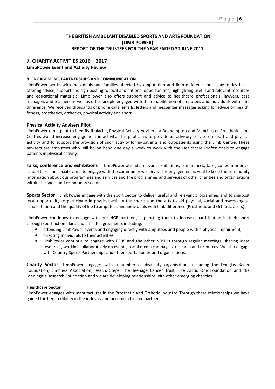# **THE BRITISH AMBULANT DISABLED SPORTS AND ARTS FOUNDATION (LIMB POWER) REPORT OF THE TRUSTEES FOR THE YEAR ENDED 30 JUNE 2017**

# **7. CHARITY ACTIVITIES 2016 – 2017**

#### **LimbPower Event and Activity Review**

#### **8. ENGAGEMENT, PARTNERSHIPS AND COMMUNICATION**

LimbPower works with individuals and families affected by amputation and limb difference on a day-to-day basis, offering advice, support and sign-posting to local and national opportunities, highlighting useful and relevant resources and educational materials. LimbPower also offers support and advice to healthcare professionals, lawyers, case managers and teachers as well as other people engaged with the rehabilitation of amputees and individuals with limb difference. We received thousands of phone calls, emails, letters and messenger massages asking for advice on health, fitness, prosthetics, orthotics, physical activity and sport.

#### **Physical Activity Advisers Pilot**

LimbPower ran a pilot to identify if placing Physical Activity Advisers at Roehampton and Manchester Prosthetic Limb Centres would increase engagement in activity. This pilot aims to provide an advisory service on sport and physical activity and to support the provision of such activity for in-patients and out-patients using the Limb Centre. These advisers are amputees who will be on hand one day a week to work with the Healthcare Professionals to engage patients in physical activity.

**Talks, conference and exhibitions** LimbPower attends relevant exhibitions, conferences, talks, coffee mornings, school talks and social events to engage with the community we serve. This engagement is vital to keep the community information about our programmes and services and the programmes and services of other charities and organisations within the sport and community sectors.

**Sports Sector** LimbPower engage with the sport sector to deliver useful and relevant programmes and to signpost local opportunity to participate in physical activity the sports and the arts to aid physical, social and psychological rehabilitation and the quality of life to amputees and individuals with limb difference (Prosthetic and Orthotic Users).

LimbPower continues to engage with our NGB partners, supporting them to increase participation in their sport through sport action plans and affiliate agreements including:

- attending LimbPower events and engaging directly with amputees and people with a physical impairment,
- directing individuals to their activities,
- LimbPower continue to engage with EFDS and the other NDSO's through regular meetings, sharing ideas resources, working collaboratively on events, social media campaigns, research and resources. We also engage with Country Sports Partnerships and other sports bodies and organisations.

**Charity Sector** LimbPower engages with a number of disability organisations including the Douglas Bader Foundation, Limbless Association, Reach, Steps, The Teenage Cancer Trust, The Arctic One Foundation and the Meningitis Research Foundation and we are developing relationships with other emerging charities.

#### **Healthcare Sector**

LimbPower engages with manufactures in the Prosthetic and Orthotic Industry. Through these relationships we have gained further credibility in the industry and become a trusted partner.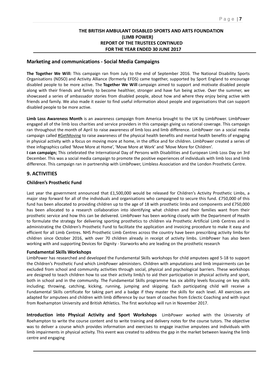# **THE BRITISH AMBULANT DISABLED SPORTS AND ARTS FOUNDATION (LIMB POWER) REPORT OF THE TRUSTEES CONTINUED FOR THE YEAR ENDED 30 JUNE 2017**

#### **Marketing and communications - Social Media Campaigns**

**The Together We Will:** This campaign ran from July to the end of September 2016. The National Disability Sports Organisations (NDSO) and Activity Alliance (formerly EFDS) came together, supported by Sport England to encourage disabled people to be more active. The **Together We Will** campaign aimed to support and motivate disabled people along with their friends and family to become healthier, stronger and have fun being active. Over the summer, we showcased a series of ambassador stories from disabled people, about how and where they enjoy being active with friends and family. We also made it easier to find useful information about people and organisations that can support disabled people to be more active.

**Limb Loss Awareness Month** is an awareness campaign from America brought to the UK by LimbPower. LimbPower engaged all of the limb loss charities and service providers in this campaign giving us national coverage. This campaign ran throughout the month of April to raise awareness of limb loss and limb difference. LimbPower ran a social media campaign called #GetMoving to raise awareness of the physical health benefits and mental health benefits of engaging in physical activity with a focus on moving more at home, in the office and for children. LimbPower created a series of thee infographics called 'Move More at Home', 'Move More at Work' and 'Move More for Children'.

**I can campaign;** This celebrated the International Day of Persons with Disabilities and European Limb Loss Day on 3rd December. This was a social media campaign to promote the positive experiences of individuals with limb loss and limb difference. This campaign ran in partnership with LimbPower, Limbless Association and the London Prosthetic Centre.

# **9. ACTIVITIES**

#### **Children's Prosthetic Fund**

Last year the government announced that £1,500,000 would be released for Children's Activity Prosthetic Limbs, a major step forward for all of the individuals and organisations who campaigned to secure this fund. £750,000 of this fund has been allocated to providing children up to the age of 18 with prosthetic limbs and components and £750,000 has been allocated to a research collaboration into identifying what children and their families want from their prosthetic service and how this can be delivered. LimbPower has been working closely with the Department of Health to formulate the strategy for delivering sporting prosthetics to children via Prosthetic Artificial Limb Centres and in administrating the Children's Prosthetic Fund to facilitate the application and invoicing procedure to make it easy and efficient for all Limb Centres. NHS Prosthetic Limb Centres across the country have been prescribing activity limbs for children since October 2016, with over 70 children already in receipt of activity limbs. LimbPower has also been working with and supporting Devices for Dignity - Starworks who are leading on the prosthetic research

#### **Fundamental Skills Workshops**

LimbPower has researched and developed the Fundamental Skills workshops for child amputees aged 5-18 to support the Children's Prosthetic Fund which LimbPower administers. Children with amputations and limb impairments can be excluded from school and community activities through social, physical and psychological barriers. These workshops are designed to teach children how to use their activity limb/s to aid their participation in physical activity and sport, both in school and in the community. The Fundamental Skills programme has six ability levels focusing on key skills including; throwing, catching, kicking, running, jumping and skipping. Each participating child will receive a Fundamental Skills certificate for taking part and a badge if they master the skills for each level. All exercises are adapted for amputees and children with limb difference by our team of coaches from Eclectic Coaching and with input from Roehampton University and British Athletics. The first workshop will run in November 2017.

**Introduction into Physical Activity and Sport Workshops** LimbPower worked with the University of Roehampton to write the course content and to write training and delivery notes for the course tutors. The objective was to deliver a course which provides information and exercises to engage inactive amputees and individuals with limb impairments in physical activity. This event was created to address the gap in the market between leaving the limb centre and engaging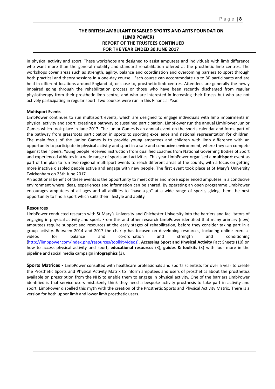## **THE BRITISH AMBULANT DISABLED SPORTS AND ARTS FOUNDATION (LIMB POWER) REPORT OF THE TRUSTEES CONTINUED FOR THE YEAR ENDED 30 JUNE 2017**

in physical activity and sport. These workshops are designed to assist amputees and individuals with limb difference who want more than the general mobility and standard rehabilitation offered at the prosthetic limb centres. The workshops cover areas such as strength, agility, balance and coordination and overcoming barriers to sport through both practical and theory sessions in a one-day course. Each course can accommodate up to 30 participants and are held in different locations around England at, or close to, prosthetic limb centres. Attendees are generally the newly impaired going through the rehabilitation process or those who have been recently discharged from regular physiotherapy from their prosthetic limb centre, and who are interested in increasing their fitness but who are not actively participating in regular sport. Two courses were run in this Financial Year.

#### **Multisport Events**

LimbPower continues to run multisport events, which are designed to engage individuals with limb impairments in physical activity and sport, creating a pathway to sustained participation. LimbPower run the annual LimbPower Junior Games which took place in June 2017. The Junior Games is an annual event on the sports calendar and forms part of the pathway from grassroots participation in sports to sporting excellence and national representation for children. The main focus of the Junior Games is to provide young amputees and children with limb difference with an opportunity to participate in physical activity and sport in a safe and conducive environment, where they can compete against their peers. Young people received instruction from qualified coaches from National Governing Bodies of Sport and experienced athletes in a wide range of sports and activities. This year LimbPower organised a **multisport** event as part of the plan to run two regional multisport events to reach different areas of the county, with a focus on getting more inactive disabled people active and engage with new people. The first event took place at St Mary's University Twickenham on 25th June 2017.

An additional benefit of these events is the opportunity to meet other and more experienced amputees in a conducive environment where ideas, experiences and information can be shared. By operating an open programme LimbPower encourages amputees of all ages and all abilities to "have-a-go" at a wide range of sports, giving them the best opportunity to find a sport which suits their lifestyle and ability.

#### **Resources**

LimbPower conducted research with St Mary's University and Chichester University into the barriers and facilitators of engaging in physical activity and sport. From this and other research LimbPower identified that many primary (new) amputees require support and resources at the early stages of rehabilitation, before they consider taking part in a group activity. Between 2014 and 2017 the charity has focused on developing resources, including online exercise videos for balance and co-ordination and strength and conditioning (http://limbpower.com/index.php/resources/toolkit-videos), **Accessing Sport and Physical Activity** Fact Sheets (10) on how to access physical activity and sport, **educational resources** (3), **guides & toolkits** (3) with four more in the pipeline and social media campaign **infographics** (3).

**Sports Matrices -** LimbPower consulted with healthcare professionals and sports scientists for over a year to create the Prosthetic Sports and Physical Activity Matrix to inform amputees and users of prosthetics about the prosthetics available on prescription from the NHS to enable them to engage in physical activity. One of the barriers LimbPower identified is that service users mistakenly think they need a bespoke activity prosthesis to take part in activity and sport. LimbPower dispelled this myth with the creation of the Prosthetic Sports and Physical Activity Matrix. There is a version for both upper limb and lower limb prosthetic users.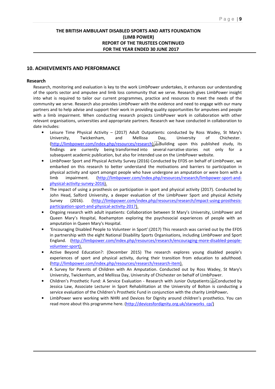# **THE BRITISH AMBULANT DISABLED SPORTS AND ARTS FOUNDATION (LIMB POWER) REPORT OF THE TRUSTEES CONTINUED FOR THE YEAR ENDED 30 JUNE 2017**

## **10. ACHIEVEMENTS AND PERFORMANCE**

#### **Research**

Research, monitoring and evaluation is key to the work LimbPower undertakes, it enhances our understanding of the sports sector and amputee and limb loss community that we serve. Research gives LimbPower insight into what is required to tailor our current programmes, practice and resources to meet the needs of the community we serve. Research also provides LimbPower with the evidence and need to engage with our many partners and to help advise and support their work in providing quality opportunities for amputees and people with a limb impairment. When conducting research projects LimbPower work in collaboration with other relevant organisations, universities and appropriate partners. Research we have conducted in collaboration to date includes:

- Leisure Time Physical Activity (2017) Adult Outpatients: conducted by Ross Wadey, St Mary's University, Twickenham, and Mellissa Day, University of Chichester. (http://limbpower.com/index.php/resources/research). Building upon this published study, its findings are currently being transformed into several narrative stories not only for a subsequent academic publication, but also for intended use on the LimbPower website.
- LimbPower Sport and Physical Activity Survey (2016) Conducted by EFDS on behalf of LimbPower, we embarked on this research to better understand the motivations and barriers to participation in physical activity and sport amongst people who have undergone an amputation or were born with a limb impairment. (http://limbpower.com/index.php/resources/research/limbpower-sport-andphysical-activity-survey-2016).
- The impact of using a prosthesis on participation in sport and physical activity (2017). Conducted by John Head, Salford University, a deeper evaluation of the LimbPower Sport and physical Activity Survey (2016). (http://limbpower.com/index.php/resources/research/impact-using-prosthesisparticipation-sport-and-physical-activity-2017).
- Ongoing research with adult inpatients: Collaboration between St Mary's University, LimbPower and Queen Mary's Hospital, Roehampton exploring the psychosocial experiences of people with an amputation in Queen Mary's Hospital.
- 'Encouraging Disabled People to Volunteer in Sport':(2017) This research was carried out by the EFDS in partnership with the eight National Disability Sports Organisations, including LimbPower and Sport England. (http://limbpower.com/index.php/resources/research/encouraging-more-disabled-peoplevolunteer-sport).
- Active Beyond Education?: (December 2015) The research explores young disabled people's experiences of sport and physical activity, during their transition from education to adulthood. (http://limbpower.com/index.php/resources/research/research-item).
- A Survey for Parents of Children with An Amputation. Conducted out by Ross Wadey, St Mary's University, Twickenham, and Mellissa Day, University of Chichester on behalf of LImbPower.
- Children's Prosthetic Fund: A Service Evaluation Research with Junior Outpatients: Conducted by Jessica Law, Associate Lecturer in Sport Rehabilitation at the University of Bolton is conducting a service evaluation of the Children's Prosthetic Fund in conjunction with the charity LimbPower**.**
- LimbPower were working with NHRI and Devices for Dignity around children's prosthetics. You can read more about this programme here. (http://devicesfordignity.org.uk/starworks\_cp/)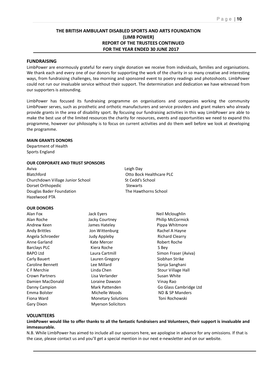## **THE BRITISH AMBULANT DISABLED SPORTS AND ARTS FOUNDATION (LIMB POWER) REPORT OF THE TRUSTEES CONTINUED FOR THE YEAR ENDED 30 JUNE 2017**

#### **FUNDRAISING**

LimbPower are enormously grateful for every single donation we receive from individuals, families and organisations. We thank each and every one of our donors for supporting the work of the charity in so many creative and interesting ways, from fundraising challenges, tea morning and sponsored event to poetry readings and photoshoots. LimbPower could not run our invaluable service without their support. The determination and dedication we have witnessed from our supporters is astounding.

LimbPower has focused its fundraising programme on organisations and companies working the community LimbPower serves, such as prosthetic and orthotic manufacturers and service providers and grant makers who already provide grants in the area of disability sport. By focusing our fundraising activities in this way LimbPower are able to make the best use of the limited resources the charity for resources, events and opportunities we need to expand this programme, however our philosophy is to focus on current activities and do them well before we look at developing the programme.

#### **MAIN GRANTS DONORS**

Department of Health Sports England

#### **OUR CORPORATE AND TRUST SPONSORS**

Aviva Leigh Day Blatchford Otto Bock Healthcare PLC Churchdown Village Junior School St Cedd's School Dorset Orthopedic and the Stewarts Douglas Bader Foundation The Hawthorns School Hazelwood PTA

#### **OUR DONORS**

Alan Fox **Alan Fox** Jack Eyers **Neil Mcloughlin** Alan Roche **Internal Acky Courtney Alan Roche** Philip McCormick Andrew Keen **Andrew Keen** James Hateley **Pippa Whitmore** Andy Brittles **Andy Brittles** Jon Wittenburg **Rachel A Hayne** Angela Schroeder **Manual Accord Clearts** Judy Appleby **Richard Clearry** Anne Garland **Kate Mercer Communist Robert Roche** Robert Roche Barclays PLC **Kiera Roche** S Bey BAPO Ltd **Laura Cartmill** Cartmill Common Fraser (Aviva) Carly Bauert Lauren Gregory Siobhan Strike Caroline Bennett Lee Millard Caroline Bennett Lee Millard C F Merchie **C** F Merchie Linda Chen Stour Village Hall Crown Partners **Crown Partners** Crown Partners **Crown Partners** Cusan White Damien MacDonald Loraine Dawson Vinay Rao Danny Campion Mark Pattenden Go Glass Cambridge Ltd Emma Bolster **Michelle Woods** ND & SP Manders Fiona Ward Monetary Solutions Toni Rochowski Gary Dixon Myerson Solicitors

#### **VOLUNTEERS**

**LimbPower would like to offer thanks to all the fantastic fundraisers and Volunteers, their support is invaluable and immeasurable.** 

N.B. While LimbPower has aimed to include all our sponsors here, we apologise in advance for any omissions. If that is the case, please contact us and you'll get a special mention in our next e-newsletter and on our website.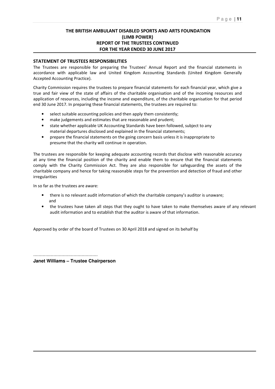## **THE BRITISH AMBULANT DISABLED SPORTS AND ARTS FOUNDATION (LIMB POWER) REPORT OF THE TRUSTEES CONTINUED FOR THE YEAR ENDED 30 JUNE 2017**

## **STATEMENT OF TRUSTEES RESPONSIBILITIES**

The Trustees are responsible for preparing the Trustees' Annual Report and the financial statements in accordance with applicable law and United Kingdom Accounting Standards (United Kingdom Generally Accepted Accounting Practice).

Charity Commission requires the trustees to prepare financial statements for each financial year, which give a true and fair view of the state of affairs of the charitable organisation and of the incoming resources and application of resources, including the income and expenditure, of the charitable organisation for that period end 30 June 2017. In preparing these financial statements, the trustees are required to:

- select suitable accounting policies and then apply them consistently;
- make judgements and estimates that are reasonable and prudent;
- state whether applicable UK Accounting Standards have been followed, subject to any material departures disclosed and explained in the financial statements;
- prepare the financial statements on the going concern basis unless it is inappropriate to presume that the charity will continue in operation.

The trustees are responsible for keeping adequate accounting records that disclose with reasonable accuracy at any time the financial position of the charity and enable them to ensure that the financial statements comply with the Charity Commission Act. They are also responsible for safeguarding the assets of the charitable company and hence for taking reasonable steps for the prevention and detection of fraud and other irregularities

In so far as the trustees are aware:

- there is no relevant audit information of which the charitable company's auditor is unaware; and
- the trustees have taken all steps that they ought to have taken to make themselves aware of any relevant audit information and to establish that the auditor is aware of that information.

Approved by order of the board of Trustees on 30 April 2018 and signed on its behalf by

………………………………………… **Janet Williams – Trustee Chairperson**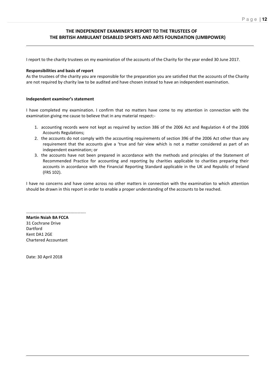# **THE INDEPENDENT EXAMINER'S REPORT TO THE TRUSTEES OF THE BRITISH AMBULANT DISABLED SPORTS AND ARTS FOUNDATION (LIMBPOWER)**

I report to the charity trustees on my examination of the accounts of the Charity for the year ended 30 June 2017.

#### **Responsibilities and basis of report**

As the trustees of the charity you are responsible for the preparation you are satisfied that the accounts of the Charity are not required by charity law to be audited and have chosen instead to have an independent examination.

#### **Independent examiner's statement**

I have completed my examination. I confirm that no matters have come to my attention in connection with the examination giving me cause to believe that in any material respect:-

- 1. accounting records were not kept as required by section 386 of the 2006 Act and Regulation 4 of the 2006 Accounts Regulations;
- 2. the accounts do not comply with the accounting requirements of section 396 of the 2006 Act other than any requirement that the accounts give a 'true and fair view which is not a matter considered as part of an independent examination; or
- 3. the accounts have not been prepared in accordance with the methods and principles of the Statement of Recommended Practice for accounting and reporting by charities applicable to charities preparing their accounts in accordance with the Financial Reporting Standard applicable in the UK and Republic of Ireland (FRS 102).

I have no concerns and have come across no other matters in connection with the examination to which attention should be drawn in this report in order to enable a proper understanding of the accounts to be reached.

……………………………………………….. **Martin Nsiah BA FCCA**  31 Cochrane Drive Dartford Kent DA1 2GE Chartered Accountant

Date: 30 April 2018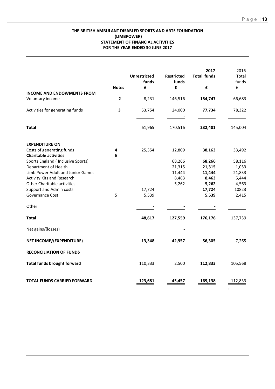## **THE BRITISH AMBULANT DISABLED SPORTS AND ARTS FOUNDATION (LIMBPOWER) STATEMENT OF FINANCIAL ACTIVITIES FOR THE YEAR ENDED 30 JUNE 2017**

|                                                           |                         | <b>Unrestricted</b><br>funds | <b>Restricted</b><br>funds | 2017<br><b>Total funds</b> | 2016<br>Total<br>funds |
|-----------------------------------------------------------|-------------------------|------------------------------|----------------------------|----------------------------|------------------------|
|                                                           | <b>Notes</b>            | £                            | £                          | £                          | $\pmb{\mathsf{f}}$     |
| <b>INCOME AND ENDOWMENTS FROM</b>                         |                         |                              |                            |                            |                        |
| Voluntary income                                          | $\overline{\mathbf{2}}$ | 8,231                        | 146,516                    | 154,747                    | 66,683                 |
| Activities for generating funds                           | 3                       | 53,754                       | 24,000                     | 77,734                     | 78,322                 |
| <b>Total</b>                                              |                         | 61,965                       | 170,516                    | 232,481                    | 145,004                |
| <b>EXPENDITURE ON</b>                                     |                         |                              |                            |                            |                        |
| Costs of generating funds                                 | 4                       | 25,354                       | 12,809                     | 38,163                     | 33,492                 |
| <b>Charitable activities</b>                              | 6                       |                              |                            |                            |                        |
| Sports England ( Inclusive Sports)                        |                         |                              | 68,266                     | 68,266                     | 58,116                 |
| Department of Health                                      |                         |                              | 21,315                     | 21,315                     | 1,053                  |
| Limb Power Adult and Junior Games                         |                         |                              | 11,444                     | 11,444                     | 21,833                 |
| Activity Kits and Research<br>Other Charitable activities |                         |                              | 8,463                      | 8,463<br>5,262             | 5,444                  |
| Support and Admin costs                                   |                         | 17,724                       | 5,262                      | 17,724                     | 4,563<br>10823         |
| Governance Cost                                           | 5                       | 5,539                        |                            | 5,539                      | 2,415                  |
| Other                                                     |                         |                              |                            |                            |                        |
| <b>Total</b>                                              |                         | 48,617                       | 127,559                    | 176,176                    | 137,739                |
| Net gains/(losses)                                        |                         |                              |                            |                            |                        |
| NET INCOME/(EXPENDITURE)                                  |                         | 13,348                       | 42,957                     | 56,305                     | 7,265                  |
| <b>RECONCILIATION OF FUNDS</b>                            |                         |                              |                            |                            |                        |
| <b>Total funds brought forward</b>                        |                         | 110,333                      | 2,500                      | 112,833                    | 105,568                |
| TOTAL FUNDS CARRIED FORWARD                               |                         | 123,681                      | 45,457                     | 169,138                    | 112,833                |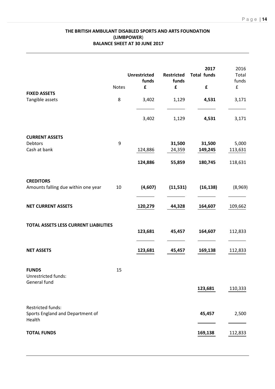# **THE BRITISH AMBULANT DISABLED SPORTS AND ARTS FOUNDATION (LIMBPOWER**) **BALANCE SHEET AT 30 JUNE 2017**

| <b>FIXED ASSETS</b><br>Tangible assets                          | Notes<br>8 | <b>Unrestricted</b><br>funds<br>£<br>3,402<br>3,402 | <b>Restricted</b><br>funds<br>£<br>1,129<br>1,129 | 2017<br><b>Total funds</b><br>£<br>4,531<br>4,531 | 2016<br>Total<br>funds<br>$\mathbf f$<br>3,171<br>3,171 |
|-----------------------------------------------------------------|------------|-----------------------------------------------------|---------------------------------------------------|---------------------------------------------------|---------------------------------------------------------|
| <b>CURRENT ASSETS</b><br>Debtors<br>Cash at bank                | 9          | 124,886<br>124,886                                  | 31,500<br>24,359<br>55,859                        | 31,500<br>149,245<br>180,745                      | 5,000<br>113,631<br>118,631                             |
| <b>CREDITORS</b><br>Amounts falling due within one year         | 10         | (4,607)                                             | (11, 531)                                         | (16, 138)                                         | (8,969)                                                 |
| <b>NET CURRENT ASSETS</b>                                       |            | 120,279                                             | 44,328                                            | 164,607                                           | 109,662                                                 |
| TOTAL ASSETS LESS CURRENT LIABILITIES                           |            | 123,681                                             | 45,457                                            | 164,607                                           | 112,833                                                 |
| <b>NET ASSETS</b>                                               |            | 123,681                                             | 45,457                                            | 169,138                                           | 112,833                                                 |
| <b>FUNDS</b><br>Unrestricted funds:<br>General fund             | 15         |                                                     |                                                   | 123,681                                           | 110,333                                                 |
| Restricted funds:<br>Sports England and Department of<br>Health |            |                                                     |                                                   | 45,457                                            | 2,500                                                   |
| <b>TOTAL FUNDS</b>                                              |            |                                                     |                                                   | 169,138                                           | 112,833                                                 |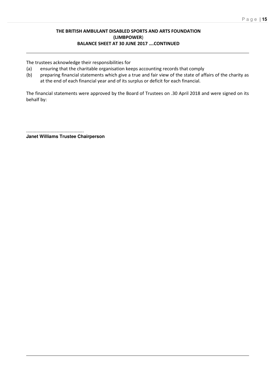# **THE BRITISH AMBULANT DISABLED SPORTS AND ARTS FOUNDATION (LIMBPOWER**) **BALANCE SHEET AT 30 JUNE 2017 ….CONTINUED**

The trustees acknowledge their responsibilities for

- (a) ensuring that the charitable organisation keeps accounting records that comply
- (b) preparing financial statements which give a true and fair view of the state of affairs of the charity as at the end of each financial year and of its surplus or deficit for each financial.

The financial statements were approved by the Board of Trustees on .30 April 2018 and were signed on its behalf by:

............................................. **Janet Williams Trustee Chairperson**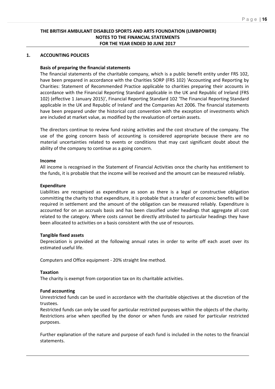# **THE BRITISH AMBULANT DISABLED SPORTS AND ARTS FOUNDATION (LIMBPOWER) NOTES TO THE FINANCIAL STATEMENTS FOR THE YEAR ENDED 30 JUNE 2017**

## **1. ACCOUNTING POLICIES**

## **Basis of preparing the financial statements**

The financial statements of the charitable company, which is a public benefit entity under FRS 102, have been prepared in accordance with the Charities SORP (FRS 102) 'Accounting and Reporting by Charities: Statement of Recommended Practice applicable to charities preparing their accounts in accordance with the Financial Reporting Standard applicable in the UK and Republic of Ireland (FRS 102) (effective 1 January 2015)', Financial Reporting Standard 102 'The Financial Reporting Standard applicable in the UK and Republic of Ireland' and the Companies Act 2006. The financial statements have been prepared under the historical cost convention with the exception of investments which are included at market value, as modified by the revaluation of certain assets.

The directors continue to review fund raising activities and the cost structure of the company. The use of the going concern basis of accounting is considered appropriate because there are no material uncertainties related to events or conditions that may cast significant doubt about the ability of the company to continue as a going concern.

#### **Income**

All income is recognised in the Statement of Financial Activities once the charity has entitlement to the funds, it is probable that the income will be received and the amount can be measured reliably.

#### **Expenditure**

Liabilities are recognised as expenditure as soon as there is a legal or constructive obligation committing the charity to that expenditure, it is probable that a transfer of economic benefits will be required in settlement and the amount of the obligation can be measured reliably. Expenditure is accounted for on an accruals basis and has been classified under headings that aggregate all cost related to the category. Where costs cannot be directly attributed to particular headings they have been allocated to activities on a basis consistent with the use of resources.

#### **Tangible fixed assets**

Depreciation is provided at the following annual rates in order to write off each asset over its estimated useful life.

Computers and Office equipment - 20% straight line method.

#### **Taxation**

The charity is exempt from corporation tax on its charitable activities.

## **Fund accounting**

Unrestricted funds can be used in accordance with the charitable objectives at the discretion of the trustees.

Restricted funds can only be used for particular restricted purposes within the objects of the charity. Restrictions arise when specified by the donor or when funds are raised for particular restricted purposes.

Further explanation of the nature and purpose of each fund is included in the notes to the financial statements.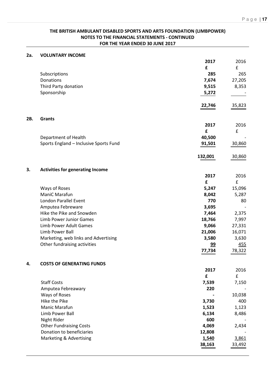# **THE BRITISH AMBULANT DISABLED SPORTS AND ARTS FOUNDATION (LIMBPOWER) NOTES TO THE FINANCIAL STATEMENTS - CONTINUED FOR THE YEAR ENDED 30 JUNE 2017**

| 2a. | <b>VOLUNTARY INCOME</b>                 |         |        |
|-----|-----------------------------------------|---------|--------|
|     |                                         | 2017    | 2016   |
|     |                                         | £       | £      |
|     | Subscriptions                           | 285     | 265    |
|     | Donations                               | 7,674   | 27,205 |
|     | Third Party donation                    | 9,515   | 8,353  |
|     | Sponsorship                             | 5,272   |        |
|     |                                         |         |        |
|     |                                         | 22,746  | 35,823 |
|     |                                         |         |        |
| 2B. | <b>Grants</b>                           |         |        |
|     |                                         | 2017    | 2016   |
|     |                                         | £       | £      |
|     | Department of Health                    | 40,500  |        |
|     | Sports England - Inclusive Sports Fund  | 91,501  | 30,860 |
|     |                                         |         |        |
|     |                                         | 132,001 | 30,860 |
|     |                                         |         |        |
| 3.  | <b>Activities for generating Income</b> |         |        |
|     |                                         | 2017    | 2016   |
|     |                                         | £       | £      |
|     | Ways of Roses                           | 5,247   | 15,096 |
|     | ManiC Marafun                           | 8,042   | 5,287  |
|     | London Parallel Event                   | 770     | 80     |
|     | Amputea Febreware                       | 3,695   |        |
|     | Hike the Pike and Snowden               | 7,464   | 2,375  |
|     | <b>Limb Power Junior Games</b>          | 18,766  | 7,997  |
|     | <b>Limb Power Adult Games</b>           | 9,066   | 27,331 |
|     | Limb Power Ball                         | 21,006  | 16,071 |
|     | Marketing, web links and Advertising    | 3,580   | 3,630  |
|     | Other fundraising activities            |         |        |
|     |                                         | 99      | 455    |
|     |                                         | 77,734  | 78,322 |
| 4.  | <b>COSTS OF GENERATING FUNDS</b>        |         |        |
|     |                                         | 2017    | 2016   |
|     |                                         | £       | £      |
|     | <b>Staff Costs</b>                      | 7,539   | 7,150  |
|     | Amputea Febreawary                      | 220     |        |
|     | Ways of Roses                           |         | 10,038 |
|     | Hike the Pike                           | 3,730   | 400    |
|     |                                         |         |        |
|     | Manic Marafun                           | 1,523   | 1,123  |
|     | Limb Power Ball                         | 6,134   | 8,486  |
|     | Night Rider                             | 600     |        |
|     | <b>Other Fundraising Costs</b>          | 4,069   | 2,434  |
|     | Donation to beneficiaries               | 12,808  |        |
|     | Marketing & Advertising                 | 1,540   | 3,861  |
|     |                                         | 38,163  | 33,492 |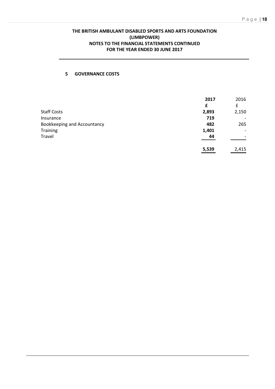# **THE BRITISH AMBULANT DISABLED SPORTS AND ARTS FOUNDATION (LIMBPOWER) NOTES TO THE FINANCIAL STATEMENTS CONTINUED FOR THE YEAR ENDED 30 JUNE 2017**

# **5 GOVERNANCE COSTS**

|                                    | 2017  | 2016                     |
|------------------------------------|-------|--------------------------|
|                                    | £     | £                        |
| <b>Staff Costs</b>                 | 2,893 | 2,150                    |
| Insurance                          | 719   |                          |
| <b>Bookkeeping and Accountancy</b> | 482   | 265                      |
| <b>Training</b>                    | 1,401 | -                        |
| Travel                             | 44    | $\overline{\phantom{a}}$ |
|                                    | 5,539 | 2,415                    |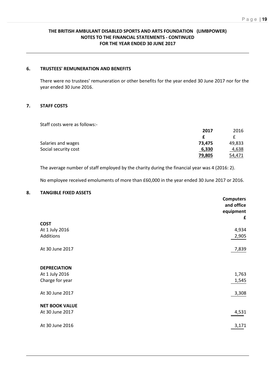# **THE BRITISH AMBULANT DISABLED SPORTS AND ARTS FOUNDATION (LIMBPOWER) NOTES TO THE FINANCIAL STATEMENTS - CONTINUED FOR THE YEAR ENDED 30 JUNE 2017**

## **6. TRUSTEES' REMUNERATION AND BENEFITS**

There were no trustees' remuneration or other benefits for the year ended 30 June 2017 nor for the year ended 30 June 2016.

# **7. STAFF COSTS**

Staff costs were as follows:-

| 2017   | 2016   |
|--------|--------|
| £      |        |
| 73,475 | 49,833 |
| 6,330  | 4,638  |
| 79,805 | 54,471 |
|        |        |

The average number of staff employed by the charity during the financial year was 4 (2016: 2).

No employee received emoluments of more than £60,000 in the year ended 30 June 2017 or 2016.

# **8. TANGIBLE FIXED ASSETS**

|                       | <b>Computers</b><br>and office<br>equipment<br>£ |
|-----------------------|--------------------------------------------------|
| <b>COST</b>           |                                                  |
| At 1 July 2016        | 4,934                                            |
| Additions             | 2,905                                            |
| At 30 June 2017       | 7,839                                            |
| <b>DEPRECIATION</b>   |                                                  |
| At 1 July 2016        | 1,763                                            |
| Charge for year       | 1,545                                            |
| At 30 June 2017       | 3,308                                            |
| <b>NET BOOK VALUE</b> |                                                  |
| At 30 June 2017       | 4,531                                            |
| At 30 June 2016       | 3,171                                            |
|                       |                                                  |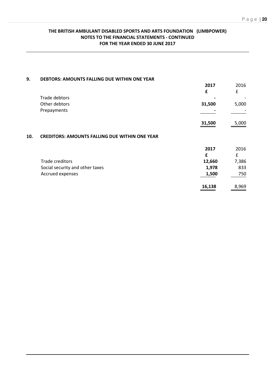# **THE BRITISH AMBULANT DISABLED SPORTS AND ARTS FOUNDATION (LIMBPOWER) NOTES TO THE FINANCIAL STATEMENTS - CONTINUED FOR THE YEAR ENDED 30 JUNE 2017**

| 9.  | DEBTORS: AMOUNTS FALLING DUE WITHIN ONE YEAR          |        |       |
|-----|-------------------------------------------------------|--------|-------|
|     |                                                       | 2017   | 2016  |
|     |                                                       | £      | £     |
|     | <b>Trade debtors</b>                                  |        |       |
|     | Other debtors                                         | 31,500 | 5,000 |
|     | Prepayments                                           |        |       |
|     |                                                       | 31,500 | 5,000 |
| 10. | <b>CREDITORS: AMOUNTS FALLING DUE WITHIN ONE YEAR</b> |        |       |
|     |                                                       | 2017   | 2016  |
|     |                                                       | f      | £     |
|     | <b>Trade creditors</b>                                | 12,660 | 7,386 |
|     | Social security and other taxes                       | 1,978  | 833   |
|     | Accrued expenses                                      | 1,500  | 750   |
|     |                                                       | 16,138 | 8,969 |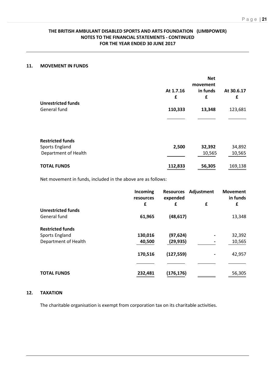# **THE BRITISH AMBULANT DISABLED SPORTS AND ARTS FOUNDATION (LIMBPOWER) NOTES TO THE FINANCIAL STATEMENTS - CONTINUED FOR THE YEAR ENDED 30 JUNE 2017**

## **11. MOVEMENT IN FUNDS**

|                           | At 1.7.16 | <b>Net</b><br>movement<br>in funds | At 30.6.17 |
|---------------------------|-----------|------------------------------------|------------|
|                           | £         | £                                  | £          |
| <b>Unrestricted funds</b> |           |                                    |            |
| General fund              | 110,333   | 13,348                             | 123,681    |
|                           |           |                                    |            |
| <b>Restricted funds</b>   |           |                                    |            |
| Sports England            | 2,500     | 32,392                             | 34,892     |
| Department of Health      |           | 10,565                             | 10,565     |
| <b>TOTAL FUNDS</b>        | 112,833   | 56,305                             | 169,138    |

Net movement in funds, included in the above are as follows:

|                           | Incoming<br>resources<br>£ | <b>Resources</b><br>expended<br>£ | Adjustment<br>£ | <b>Movement</b><br>in funds<br>£ |
|---------------------------|----------------------------|-----------------------------------|-----------------|----------------------------------|
| <b>Unrestricted funds</b> |                            |                                   |                 |                                  |
| General fund              | 61,965                     | (48, 617)                         |                 | 13,348                           |
| <b>Restricted funds</b>   |                            |                                   |                 |                                  |
| Sports England            | 130,016                    | (97, 624)                         |                 | 32,392                           |
| Department of Health      | 40,500                     | (29, 935)                         |                 | 10,565                           |
|                           | 170,516                    | (127, 559)                        |                 | 42,957                           |
|                           |                            |                                   |                 |                                  |
| <b>TOTAL FUNDS</b>        | 232,481                    | (176,176)                         |                 | 56,305                           |

# **12. TAXATION**

The charitable organisation is exempt from corporation tax on its charitable activities.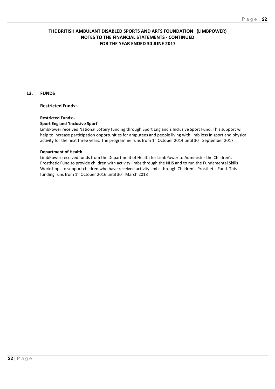# **THE BRITISH AMBULANT DISABLED SPORTS AND ARTS FOUNDATION (LIMBPOWER) NOTES TO THE FINANCIAL STATEMENTS - CONTINUED FOR THE YEAR ENDED 30 JUNE 2017**

# **13. FUNDS**

## **Restricted Funds:-**

#### **Restricted Funds:-**

## **Sport England 'Inclusive Sport'**

LimbPower received National Lottery funding through Sport England's Inclusive Sport Fund. This support will help to increase participation opportunities for amputees and people living with limb loss in sport and physical activity for the next three years. The programme runs from 1<sup>st</sup> October 2014 until 30<sup>th</sup> September 2017.

#### **Department of Health**

LimbPower received funds from the Department of Health for LimbPower to Administer the Children's Prosthetic Fund to provide children with activity limbs through the NHS and to run the Fundamental Skills Workshops to support children who have received activity limbs through Children's Prosthetic Fund. This funding runs from 1<sup>st</sup> October 2016 until 30<sup>th</sup> March 2018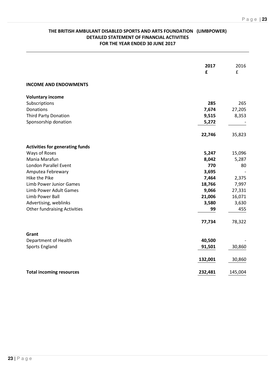# **THE BRITISH AMBULANT DISABLED SPORTS AND ARTS FOUNDATION (LIMBPOWER) DETAILED STATEMENT OF FINANCIAL ACTIVITIES FOR THE YEAR ENDED 30 JUNE 2017**

|                                        | 2017<br>£ | 2016<br>£ |
|----------------------------------------|-----------|-----------|
| <b>INCOME AND ENDOWMENTS</b>           |           |           |
| <b>Voluntary income</b>                |           |           |
| Subscriptions                          | 285       | 265       |
| Donations                              | 7,674     | 27,205    |
| <b>Third Party Donation</b>            | 9,515     | 8,353     |
| Sponsorship donation                   | 5,272     |           |
|                                        | 22,746    | 35,823    |
| <b>Activities for generating funds</b> |           |           |
| Ways of Roses                          | 5,247     | 15,096    |
| Mania Marafun                          | 8,042     | 5,287     |
| London Parallel Event                  | 770       | 80        |
| Amputea Febrewary                      | 3,695     |           |
| Hike the Pike                          | 7,464     | 2,375     |
| <b>Limb Power Junior Games</b>         | 18,766    | 7,997     |
| Limb Power Adult Games                 | 9,066     | 27,331    |
| Limb Power Ball                        | 21,006    | 16,071    |
| Advertising, weblinks                  | 3,580     | 3,630     |
| <b>Other fundraising Activities</b>    | 99        | 455       |
|                                        | 77,734    | 78,322    |
| Grant                                  |           |           |
| Department of Health                   | 40,500    |           |
| Sports England                         | 91,501    | 30,860    |
|                                        | 132,001   | 30,860    |
| <b>Total incoming resources</b>        | 232,481   | 145,004   |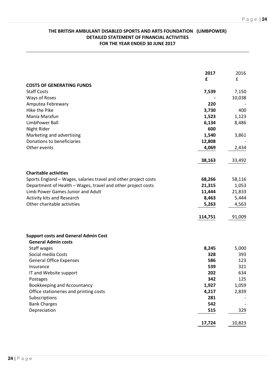# **THE BRITISH AMBULANT DISABLED SPORTS AND ARTS FOUNDATION (LIMBPOWER) DETAILED STATEMENT OF FINANCIAL ACTIVITIES FOR THE YEAR ENDED 30 JUNE 2017**

|                                                                 | 2017    | 2016   |
|-----------------------------------------------------------------|---------|--------|
|                                                                 | £       | £      |
| <b>COSTS OF GENERATING FUNDS</b>                                |         |        |
| <b>Staff Costs</b>                                              | 7,539   | 7,150  |
| Ways of Roses                                                   |         | 10,038 |
| Amputea Febrewary                                               | 220     |        |
| Hike the Pike                                                   | 3,730   | 400    |
| Mania Marafun                                                   | 1,523   | 1,123  |
| LimbPower Ball                                                  | 6,134   | 8,486  |
| Night Rider                                                     | 600     |        |
| Marketing and advertising                                       | 1,540   | 3,861  |
| Donations to beneficiaries                                      | 12,808  |        |
| Other events                                                    | 4,069   | 2,434  |
|                                                                 | 38,163  | 33,492 |
| <b>Charitable activities</b>                                    |         |        |
| Sports England - Wages, salaries travel and other project costs | 68,266  | 58,116 |
| Department of Health - Wages, travel and other project costs    | 21,315  | 1,053  |
| Limb Power Games Junior and Adult                               | 11,444  | 21,833 |
| Activity kits and Research                                      | 8,463   | 5,444  |
| Other charitable activities                                     | 5,263   | 4,563  |
|                                                                 | 114,751 | 91,009 |
| <b>Support costs and General Admin Cost</b>                     |         |        |
| <b>General Admin costs</b>                                      |         |        |
| Staff wages                                                     | 8,245   | 5,000  |
| Social media Costs                                              | 328     | 393    |
| <b>General Office Expenses</b>                                  | 586     | 123    |
| Insurance                                                       | 539     | 321    |
| IT and Website support                                          | 202     | 634    |
| Postages                                                        | 342     | 125    |
| Bookkeeping and Accountancy                                     | 1,927   | 1,059  |
| Office stationeries and printing costs                          | 4,217   | 2,839  |
| Subscriptions                                                   | 281     |        |
| <b>Bank Charges</b>                                             | 542     |        |
| Depreciation                                                    | 515     | 329    |
|                                                                 | 17,724  | 10,823 |